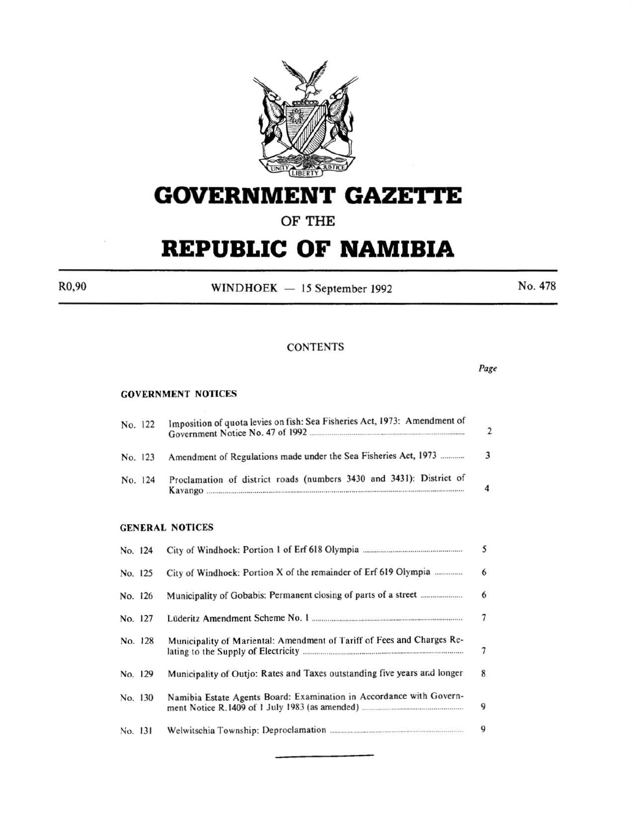

# **GOVERNMENT GAZETtE**

## **OF THE**

# **REPUBLIC OF NAMIBIA**

 $R0,90$  WINDHOEK - 15 September 1992 No. 478

*Page* 

## **CONTENTS**

#### GOVERNMENT NOTICES

| No. 122 | Imposition of quota levies on fish: Sea Fisheries Act, 1973: Amendment of |  |  |
|---------|---------------------------------------------------------------------------|--|--|
| No. 123 | Amendment of Regulations made under the Sea Fisheries Act, 1973           |  |  |
| No. 124 | Proclamation of district roads (numbers 3430 and 3431): District of       |  |  |

#### GENERAL NOTICES

|         | No. 124 |                                                                          | 5              |
|---------|---------|--------------------------------------------------------------------------|----------------|
|         | No. 125 | City of Windhoek: Portion X of the remainder of Erf 619 Olympia          | 6              |
|         | No. 126 |                                                                          | $6\phantom{a}$ |
|         | No. 127 |                                                                          | $\overline{7}$ |
|         | No. 128 | Municipality of Mariental: Amendment of Tariff of Fees and Charges Re-   | $\overline{7}$ |
|         | No. 129 | Municipality of Outjo: Rates and Taxes outstanding five years and longer | 8              |
|         | No. 130 | Namibia Estate Agents Board: Examination in Accordance with Govern-      | 9              |
| No. 131 |         |                                                                          | 9              |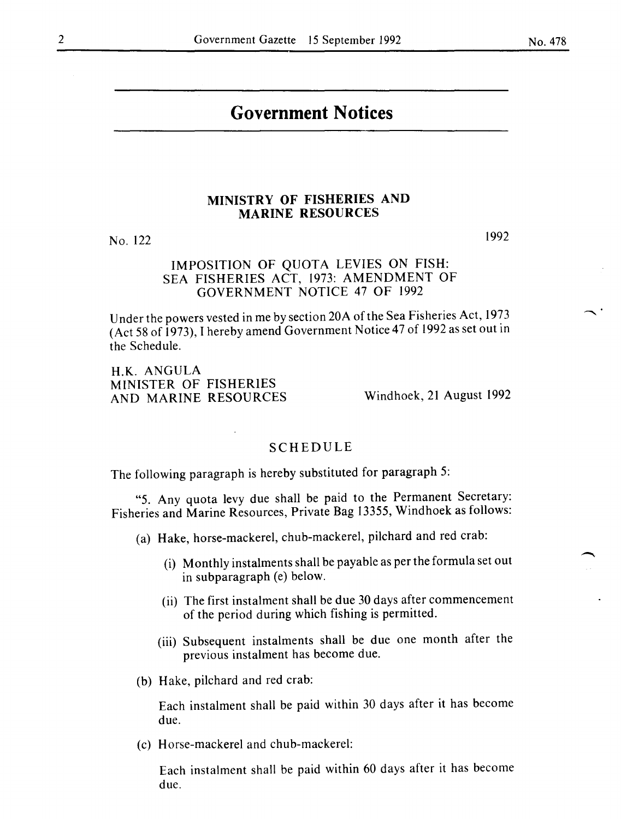#### No. 478

# **Government Notices**

## **MINISTRY OF FISHERIES AND MARINE RESOURCES**

No. 122

## IMPOSITION OF QUOTA LEVIES ON FISH: SEA FISHERIES ACT, 1973: AMENDMENT OF GOVERNMENT NOTICE 47 OF 1992

Under the powers vested in me by section 20A of the Sea Fisheries Act, 1973 (Act 58 of 1973), I hereby amend Government Notice 47 of 1992 as set out in the Schedule.

H.K. ANGULA MINISTER OF FISHERIES AND MARINE RESOURCES

Windhoek, 21 August 1992

## SCHEDULE

The following paragraph is hereby substituted for paragraph 5:

"5. Any quota levy due shall be paid to the Permanent Secretary: Fisheries and Marine Resources, Private Bag 13355, Windhoek as follows:

- (a) Hake, horse-mackerel, chub-mackerel, pilchard and red crab:
	- (i) Monthly instalments shall be payable as per the formula set out in subparagraph (e) below.
	- (ii) The first instalment shall be due 30 days after commencement of the period during which fishing is permitted.
	- (iii) Subsequent instalments shall be due one month after the previous instalment has become due.
- (b) Hake, pilchard and red crab:

Each instalment shall be paid within 30 days after it has become due.

(c) Horse-mackerel and chub-mackerel:

Each instalment shall be paid within 60 days after it has become due.

1992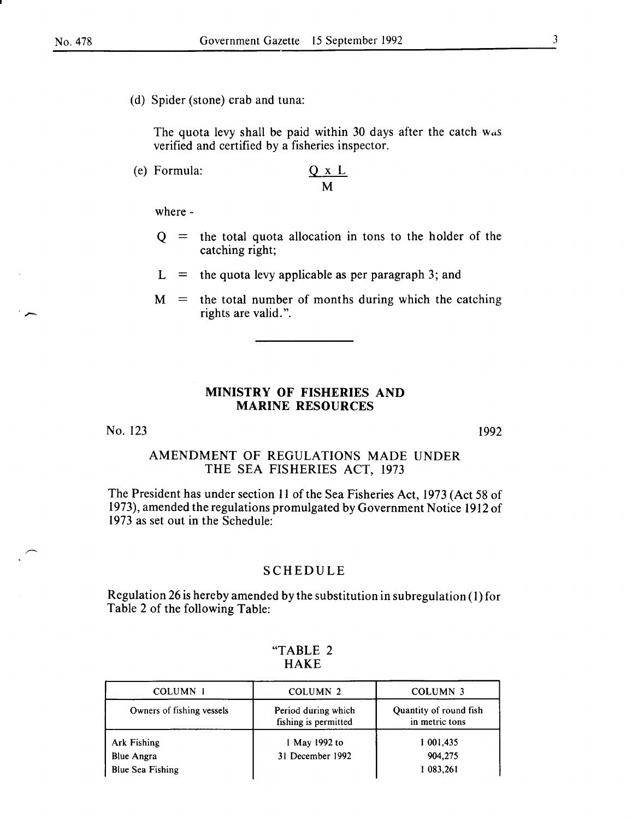(d) Spider (stone) crab and tuna:

The quota levy shall be paid within 30 days after the catch was verified and certified by a fisheries inspector.

(e) Formula:  $\qquad \qquad \text{Q}$ 

$$
\frac{2 \times L}{M}
$$

where-

- $Q =$  the total quota allocation in tons to the holder of the catching right;
- $L =$  the quota levy applicable as per paragraph 3; and
- $M =$  the total number of months during which the catching rights are valid.".

### MINISTRY OF FISHERIES AND MARINE RESOURCES

No. 123

1992

## AMENDMENT OF REGULATIONS MADE UNDER THE SEA FISHERIES ACT, 1973

The President has under section II of the Sea Fisheries Act, 1973 (Act 58 of 1973), amended the regulations promulgated by Government Notice 1912 of 1973 as set out in the Schedule:

## SCHEDULE

Regulation 26 is hereby amended by the substitution in subregulation (I) for Table 2 of the following Table:

| COLUMN <sub>1</sub>       | COLUMN <sub>2</sub>                         | COLUMN <sub>3</sub>                      |
|---------------------------|---------------------------------------------|------------------------------------------|
| Owners of fishing vessels | Period during which<br>fishing is permitted | Quantity of round fish<br>in metric tons |
| Ark Fishing               | 1 May 1992 to                               | 1 001,435                                |
| <b>Blue Angra</b>         | 31 December 1992                            | 904,275                                  |
| <b>Blue Sea Fishing</b>   |                                             | 1 083,261                                |

#### "TABLE 2 HAKE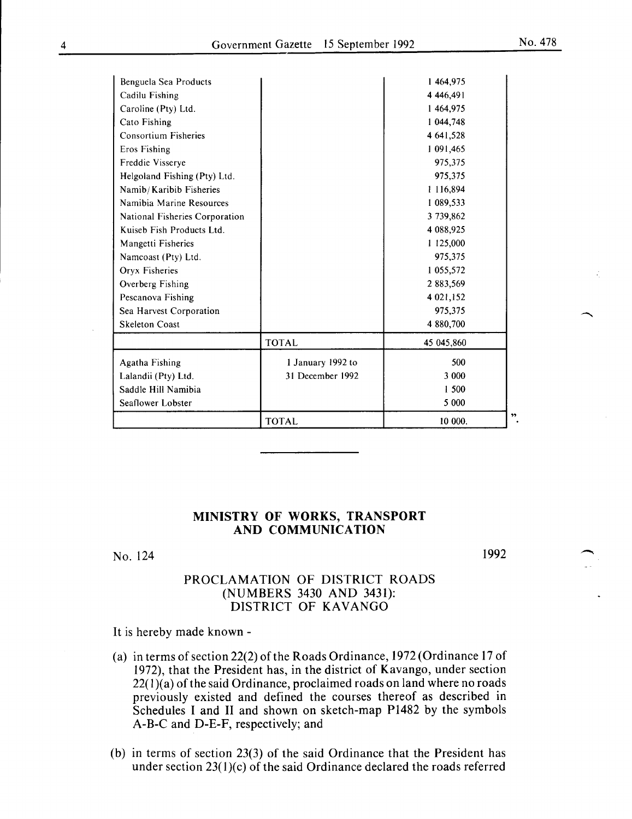| Benguela Sea Products          |                   | 1464.975   |    |
|--------------------------------|-------------------|------------|----|
| Cadilu Fishing                 |                   | 4 446,491  |    |
| Caroline (Pty) Ltd.            |                   | 1464,975   |    |
| Cato Fishing                   |                   | 1 044,748  |    |
| <b>Consortium Fisheries</b>    |                   | 4 641,528  |    |
| Eros Fishing                   |                   | 1 091,465  |    |
| Freddie Visserve               |                   | 975,375    |    |
| Helgoland Fishing (Pty) Ltd.   |                   | 975,375    |    |
| Namib/Karibib Fisheries        |                   | 1 116,894  |    |
| Namibia Marine Resources       |                   | 1 089,533  |    |
| National Fisheries Corporation |                   | 3 739,862  |    |
| Kuiseb Fish Products Ltd.      |                   | 4 088,925  |    |
| Mangetti Fisheries             |                   | 1 125,000  |    |
| Namcoast (Pty) Ltd.            |                   | 975,375    |    |
| Oryx Fisheries                 |                   | 1 055,572  |    |
| Overberg Fishing               |                   | 2 883,569  |    |
| Pescanova Fishing              |                   | 4 021,152  |    |
| Sea Harvest Corporation        |                   | 975,375    |    |
| <b>Skeleton Coast</b>          |                   | 4 880,700  |    |
|                                | <b>TOTAL</b>      | 45 045,860 |    |
| Agatha Fishing                 | 1 January 1992 to | 500        |    |
| Lalandii (Pty) Ltd.            | 31 December 1992  | 3 000      |    |
| Saddle Hill Namibia            |                   | 1 500      |    |
| Seaflower Lobster              |                   | 5 000      |    |
|                                | <b>TOTAL</b>      | 10 000.    | ,, |

## **MINISTRY OF WORKS, TRANSPORT AND COMMUNICATION**

No. 124

1992

## PROCLAMATION OF DISTRICT ROADS (NUMBERS 3430 AND 3431): DISTRICT OF KAVANGO

It is hereby made known-

- (a) in terms of section 22(2) of the Roads Ordinance,  $1972$  (Ordinance 17 of 1972), that the President has, in the district of Kavango, under section  $22(1)(a)$  of the said Ordinance, proclaimed roads on land where no roads previously existed and defined the courses thereof as described in Schedules I and II and shown on sketch-map P1482 by the symbols A-B-C and D-E-F, respectively; and
- (b) in terms of section 23(3) of the said Ordinance that the President has under section  $23(1)(c)$  of the said Ordinance declared the roads referred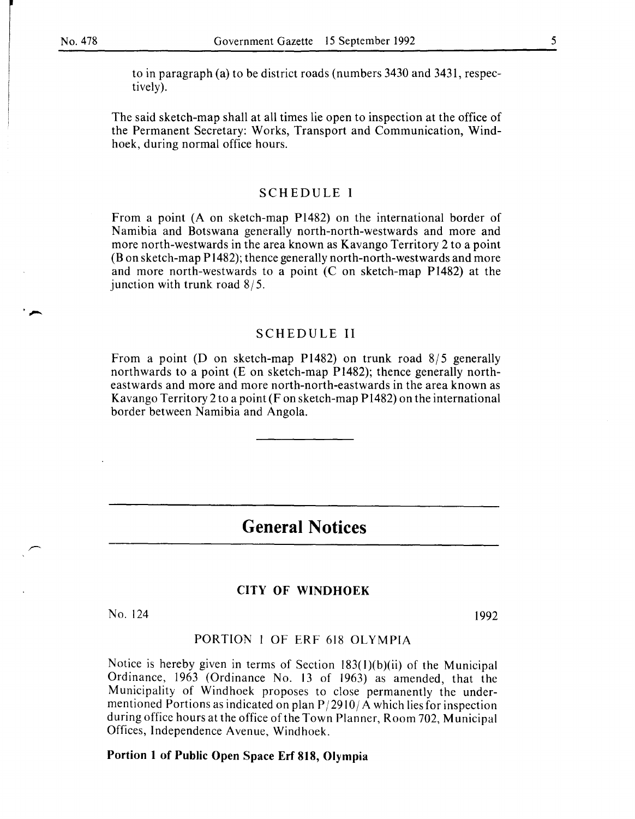to in paragraph (a) to be district roads (numbers 3430 and 3431, respectively).

The said sketch-map shall at all times lie open to inspection at the office of the Permanent Secretary: Works, Transport and Communication, Windhoek, during normal office hours.

#### SCHEDULE I

From a point (A on sketch-map P1482) on the international border of Namibia and Botswana generally north-north-westwards and more and more north-westwards in the area known as Kavango Territory 2 to a point (Bon sketch-map P1482); thence generally north-north-westwards and more and more north-westwards to a point (C on sketch-map P1482) at the junction with trunk road  $8/5$ .

## SCHEDULE II

From a point (D on sketch-map P1482) on trunk road  $8/5$  generally northwards to a point (E on sketch-map P 1482); thence generally northeastwards and more and more north-north-eastwards in the area known as Kavango Territory 2 to a point (F on sketch-map P1482) on the international border between Namibia and Angola.

# **General Notices**

#### CITY OF WINDHOEK

No. 124 1992

## PORTION 1 OF ERF 618 OLYMPIA

Notice is hereby given in terms of Section 183(l)(b)(ii) of the Municipal Ordinance, 1963 (Ordinance No. 13 of 1963) as amended, that the Municipality of Windhoek proposes to close permanently the undermentioned Portions as indicated on plan  $P/2910/A$  which lies for inspection during office hours at the office of the Town Planner, Room 702, Municipal Offices, Independence Avenue, Windhoek.

#### Portion 1 of Public Open Space Erf 818, Olympia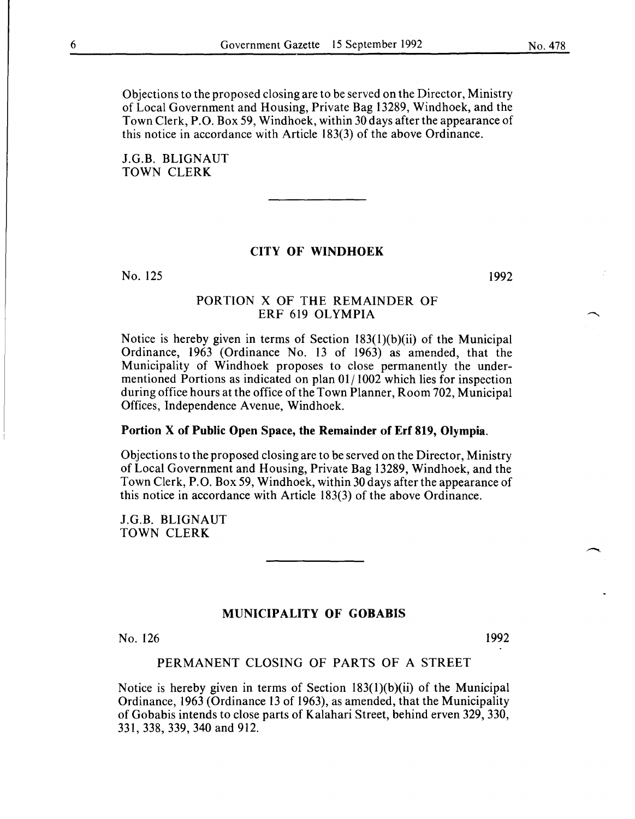Objections to the proposed closing are to be served on the Director, Ministry of Local Government and Housing, Private Bag 13289, Windhoek, and the Town Clerk, P.O. Box 59, Windhoek, within 30 days after the appearance of this notice in accordance with Article 183(3) of the above Ordinance.

J.G.B. BLIGNAUT TOWN CLERK

#### CITY OF WINDHOEK

No. 125

1992

## PORTION X OF THE REMAINDER OF ERF 619 OLYMPIA

Notice is hereby given in terms of Section 183(l)(b)(ii) of the Municipal Ordinance, 1963 (Ordinance No. 13 of 1963) as amended, that the Municipality of Windhoek proposes to close permanently the undermentioned Portions as indicated on plan 01/1002 which lies for inspection during office hours at the office of the Town Planner, Room 702, Municipal Offices, Independence A venue, Windhoek.

#### Portion X of Public Open Space, the Remainder of Erf 819, Olympia.

Objections to the proposed closing are to be served on the Director, Ministry of Local Government and Housing, Private Bag 13289, Windhoek, and the Town Clerk, P.O. Box 59, Windhoek, within 30 days after the appearance of this notice in accordance with Article 183(3) of the above Ordinance.

J.G.B. BLIGNAUT TOWN CLERK

### MUNICIPALITY OF GOBABIS

No. 126

1992

## PERMANENT CLOSING OF PARTS OF A STREET

Notice is hereby given in terms of Section 183(l)(b)(ii) of the Municipal Ordinance, 1963 (Ordinance 13 of 1963), as amended, that the Municipality of Gobabis intends to close parts of Kalahari Street, behind erven 329, 330, 331, 338, 339, 340 and 912.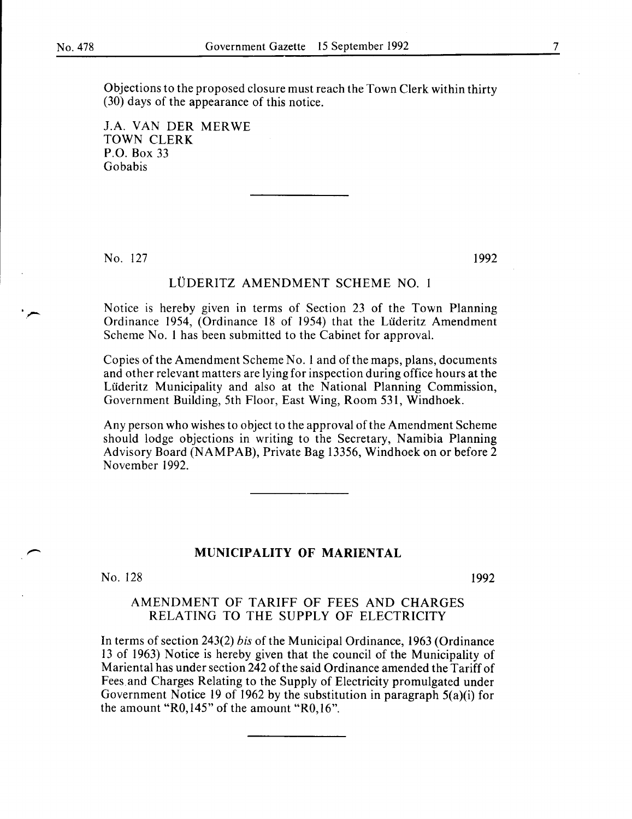Objections to the proposed closure must reach the Town Clerk within thirty (30) days of the appearance of this notice.

J.A. VAN DER MERWE TOWN CLERK P.O. Box 33 Gobabis

No. 127

1992

## LÜDERITZ AMENDMENT SCHEME NO. 1

Notice is hereby given in terms of Section 23 of the Town Planning Ordinance 1954, (Ordinance 18 of 1954) that the Luderitz Amendment Scheme No. 1 has been submitted to the Cabinet for approval.

Copies of the Amendment Scheme No. I and of the maps, plans, documents and other relevant matters are lying for inspection during office hours at the Lüderitz Municipality and also at the National Planning Commission, Government Building, 5th Floor, East Wing, Room 531, Windhoek.

Any person who wishes to object to the approval of the Amendment Scheme should lodge objections in writing to the Secretary, Namibia Planning Advisory Board (NAMPAB), Private Bag 13356, Windhoek on or before 2 November 1992.

## **MUNICIPALITY OF MARIENTAL**

No. 128

1992

## AMENDMENT OF TARIFF OF FEES AND CHARGES RELATING TO THE SUPPLY OF ELECTRICITY

In terms of section 243(2) *bis* of the Municipal Ordinance, 1963 (Ordinance 13 of 1963) Notice is hereby given that the council of the Municipality of Mariental has under section 242 of the said Ordinance amended the Tariff of Fees and Charges Relating to the Supply of Electricity promulgated under Government Notice 19 of 1962 by the substitution in paragraph 5(a)(i) for the amount "R0,145" of the amount "R0,16".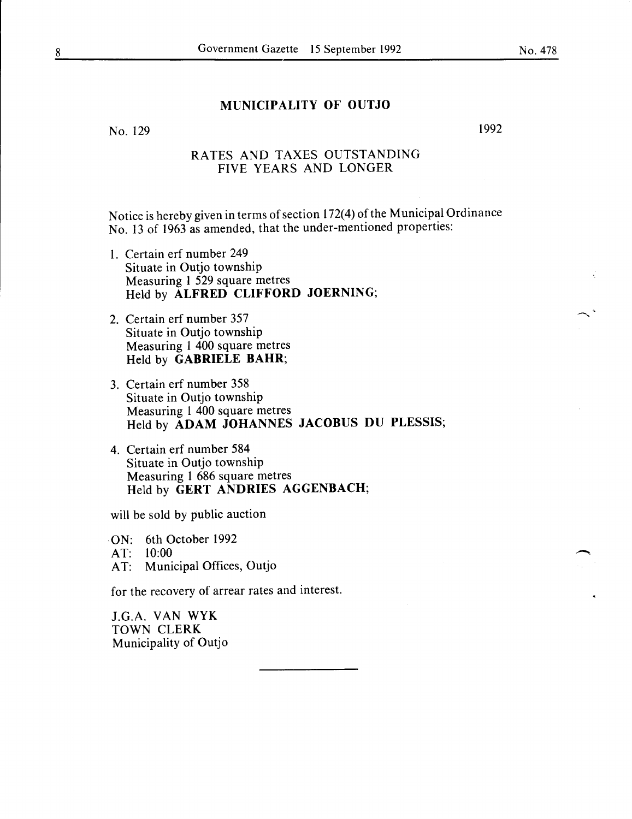## **MUNICIPALITY OF OUTJO**

No. 129

1992

## RATES AND TAXES OUTSTANDING FIVE YEARS AND LONGER

Notice is hereby given in terms of section 172(4) of the Municipal Ordinance No. 13 of 1963 as amended, that the under-mentioned properties:

- 1. Certain erf number 249 Situate in Outjo township Measuring 1 529 square metres Held by **ALFRED CLIFFORD JOERNING;**
- 2. Certain erf number 357 Situate in Outjo township Measuring **1** 400 square metres Held by **GABRIELE BAHR;**
- 3. Certain erf number 358 Situate in Outjo township Measuring 1 400 square metres Held by **ADAM JOHANNES JACOBUS DU PLESSIS;**
- 4. Certain erf number 584 Situate in Outjo township Measuring 1 686 square metres Held by **GERT ANDRIES AGGENBACH;**

will be sold by public auction

ON: 6th October 1992 AT: 10:00 AT: Municipal Offices, Outjo

for the recovery of arrear rates and interest.

J.G.A. VAN WYK TOWN CLERK Municipality of Outjo